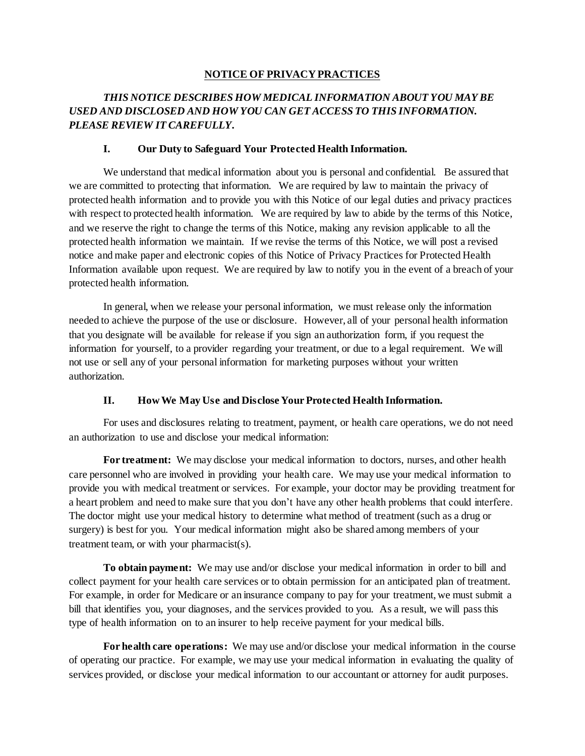#### **NOTICE OF PRIVACY PRACTICES**

# *THIS NOTICE DESCRIBES HOW MEDICAL INFORMATION ABOUT YOU MAY BE USED AND DISCLOSED AND HOW YOU CAN GET ACCESS TO THIS INFORMATION. PLEASE REVIEW IT CAREFULLY.*

#### **I. Our Duty to Safeguard Your Protected Health Information.**

We understand that medical information about you is personal and confidential. Be assured that we are committed to protecting that information. We are required by law to maintain the privacy of protected health information and to provide you with this Notice of our legal duties and privacy practices with respect to protected health information. We are required by law to abide by the terms of this Notice, and we reserve the right to change the terms of this Notice, making any revision applicable to all the protected health information we maintain. If we revise the terms of this Notice, we will post a revised notice and make paper and electronic copies of this Notice of Privacy Practices for Protected Health Information available upon request. We are required by law to notify you in the event of a breach of your protected health information.

In general, when we release your personal information, we must release only the information needed to achieve the purpose of the use or disclosure. However, all of your personal health information that you designate will be available for release if you sign an authorization form, if you request the information for yourself, to a provider regarding your treatment, or due to a legal requirement. We will not use or sell any of your personal information for marketing purposes without your written authorization.

### **II. How We May Use and Disclose Your Protected Health Information.**

For uses and disclosures relating to treatment, payment, or health care operations, we do not need an authorization to use and disclose your medical information:

**For treatment:** We may disclose your medical information to doctors, nurses, and other health care personnel who are involved in providing your health care. We may use your medical information to provide you with medical treatment or services. For example, your doctor may be providing treatment for a heart problem and need to make sure that you don't have any other health problems that could interfere. The doctor might use your medical history to determine what method of treatment (such as a drug or surgery) is best for you. Your medical information might also be shared among members of your treatment team, or with your pharmacist(s).

**To obtain payment:** We may use and/or disclose your medical information in order to bill and collect payment for your health care services or to obtain permission for an anticipated plan of treatment. For example, in order for Medicare or an insurance company to pay for your treatment, we must submit a bill that identifies you, your diagnoses, and the services provided to you. As a result, we will pass this type of health information on to an insurer to help receive payment for your medical bills.

**For health care operations:** We may use and/or disclose your medical information in the course of operating our practice. For example, we may use your medical information in evaluating the quality of services provided, or disclose your medical information to our accountant or attorney for audit purposes.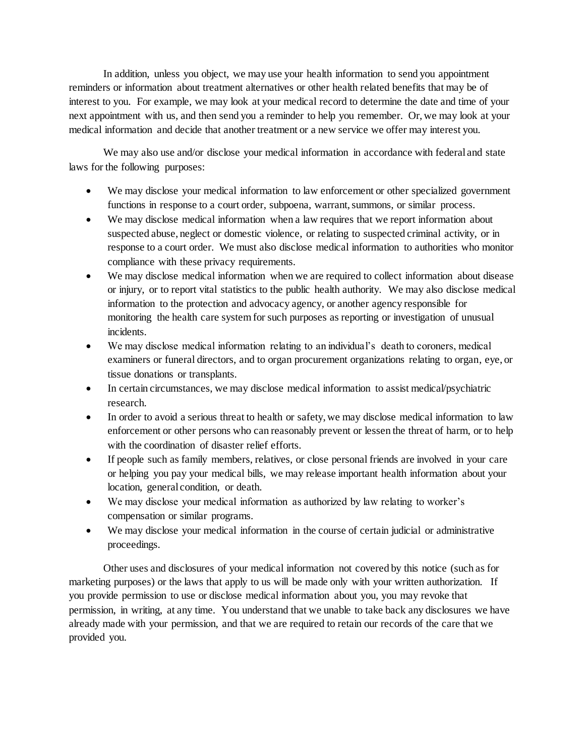In addition, unless you object, we may use your health information to send you appointment reminders or information about treatment alternatives or other health related benefits that may be of interest to you. For example, we may look at your medical record to determine the date and time of your next appointment with us, and then send you a reminder to help you remember. Or, we may look at your medical information and decide that another treatment or a new service we offer may interest you.

We may also use and/or disclose your medical information in accordance with federal and state laws for the following purposes:

- We may disclose your medical information to law enforcement or other specialized government functions in response to a court order, subpoena, warrant, summons, or similar process.
- We may disclose medical information when a law requires that we report information about suspected abuse, neglect or domestic violence, or relating to suspected criminal activity, or in response to a court order. We must also disclose medical information to authorities who monitor compliance with these privacy requirements.
- We may disclose medical information when we are required to collect information about disease or injury, or to report vital statistics to the public health authority. We may also disclose medical information to the protection and advocacy agency, or another agency responsible for monitoring the health care system for such purposes as reporting or investigation of unusual incidents.
- We may disclose medical information relating to an individual's death to coroners, medical examiners or funeral directors, and to organ procurement organizations relating to organ, eye, or tissue donations or transplants.
- In certain circumstances, we may disclose medical information to assist medical/psychiatric research.
- In order to avoid a serious threat to health or safety, we may disclose medical information to law enforcement or other persons who can reasonably prevent or lessen the threat of harm, or to help with the coordination of disaster relief efforts.
- If people such as family members, relatives, or close personal friends are involved in your care or helping you pay your medical bills, we may release important health information about your location, general condition, or death.
- We may disclose your medical information as authorized by law relating to worker's compensation or similar programs.
- We may disclose your medical information in the course of certain judicial or administrative proceedings.

Other uses and disclosures of your medical information not covered by this notice (such as for marketing purposes) or the laws that apply to us will be made only with your written authorization. If you provide permission to use or disclose medical information about you, you may revoke that permission, in writing, at any time. You understand that we unable to take back any disclosures we have already made with your permission, and that we are required to retain our records of the care that we provided you.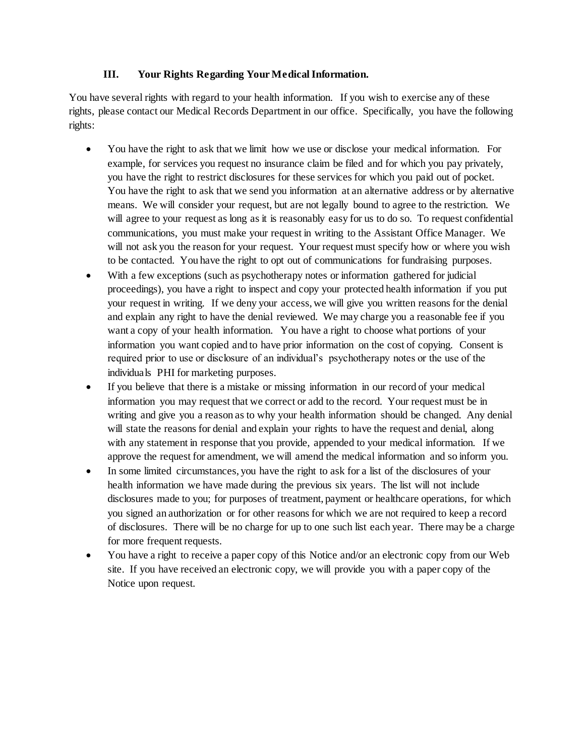### **III. Your Rights Regarding Your Medical Information.**

You have several rights with regard to your health information. If you wish to exercise any of these rights, please contact our Medical Records Department in our office. Specifically, you have the following rights:

- You have the right to ask that we limit how we use or disclose your medical information. For example, for services you request no insurance claim be filed and for which you pay privately, you have the right to restrict disclosures for these services for which you paid out of pocket. You have the right to ask that we send you information at an alternative address or by alternative means. We will consider your request, but are not legally bound to agree to the restriction. We will agree to your request as long as it is reasonably easy for us to do so. To request confidential communications, you must make your request in writing to the Assistant Office Manager. We will not ask you the reason for your request. Your request must specify how or where you wish to be contacted. You have the right to opt out of communications for fundraising purposes.
- With a few exceptions (such as psychotherapy notes or information gathered for judicial proceedings), you have a right to inspect and copy your protected health information if you put your request in writing. If we deny your access, we will give you written reasons for the denial and explain any right to have the denial reviewed. We may charge you a reasonable fee if you want a copy of your health information. You have a right to choose what portions of your information you want copied and to have prior information on the cost of copying. Consent is required prior to use or disclosure of an individual's psychotherapy notes or the use of the individuals PHI for marketing purposes.
- If you believe that there is a mistake or missing information in our record of your medical information you may request that we correct or add to the record. Your request must be in writing and give you a reason as to why your health information should be changed. Any denial will state the reasons for denial and explain your rights to have the request and denial, along with any statement in response that you provide, appended to your medical information. If we approve the request for amendment, we will amend the medical information and so inform you.
- In some limited circumstances, you have the right to ask for a list of the disclosures of your health information we have made during the previous six years. The list will not include disclosures made to you; for purposes of treatment, payment or healthcare operations, for which you signed an authorization or for other reasons for which we are not required to keep a record of disclosures. There will be no charge for up to one such list each year. There may be a charge for more frequent requests.
- You have a right to receive a paper copy of this Notice and/or an electronic copy from our Web site. If you have received an electronic copy, we will provide you with a paper copy of the Notice upon request.